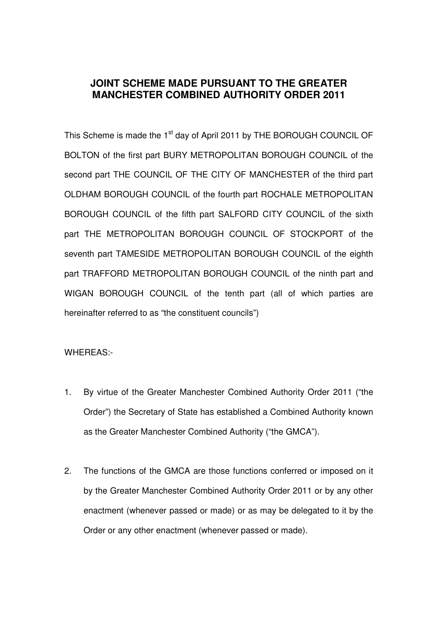# **JOINT SCHEME MADE PURSUANT TO THE GREATER MANCHESTER COMBINED AUTHORITY ORDER 2011**

This Scheme is made the 1<sup>st</sup> day of April 2011 by THE BOROUGH COUNCIL OF BOLTON of the first part BURY METROPOLITAN BOROUGH COUNCIL of the second part THE COUNCIL OF THE CITY OF MANCHESTER of the third part OLDHAM BOROUGH COUNCIL of the fourth part ROCHALE METROPOLITAN BOROUGH COUNCIL of the fifth part SALFORD CITY COUNCIL of the sixth part THE METROPOLITAN BOROUGH COUNCIL OF STOCKPORT of the seventh part TAMESIDE METROPOLITAN BOROUGH COUNCIL of the eighth part TRAFFORD METROPOLITAN BOROUGH COUNCIL of the ninth part and WIGAN BOROUGH COUNCIL of the tenth part (all of which parties are hereinafter referred to as "the constituent councils")

#### WHEREAS:-

- 1. By virtue of the Greater Manchester Combined Authority Order 2011 ("the Order") the Secretary of State has established a Combined Authority known as the Greater Manchester Combined Authority ("the GMCA").
- 2. The functions of the GMCA are those functions conferred or imposed on it by the Greater Manchester Combined Authority Order 2011 or by any other enactment (whenever passed or made) or as may be delegated to it by the Order or any other enactment (whenever passed or made).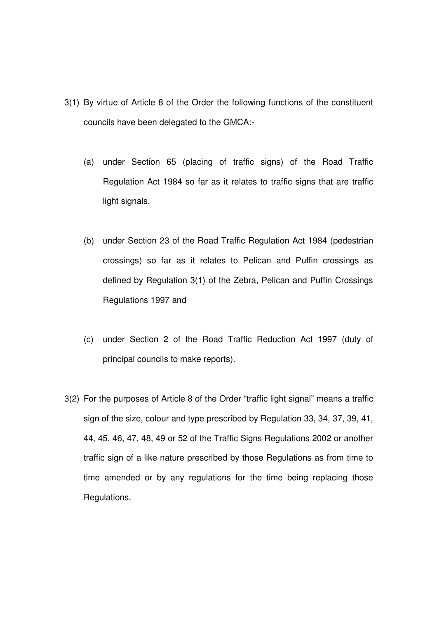- 3(1) By virtue of Article 8 of the Order the following functions of the constituent councils have been delegated to the GMCA:-
	- (a) under Section 65 (placing of traffic signs) of the Road Traffic Regulation Act 1984 so far as it relates to traffic signs that are traffic light signals.
	- (b) under Section 23 of the Road Traffic Regulation Act 1984 (pedestrian crossings) so far as it relates to Pelican and Puffin crossings as defined by Regulation 3(1) of the Zebra, Pelican and Puffin Crossings Regulations 1997 and
	- (c) under Section 2 of the Road Traffic Reduction Act 1997 (duty of principal councils to make reports).
- 3(2) For the purposes of Article 8 of the Order "traffic light signal" means a traffic sign of the size, colour and type prescribed by Regulation 33, 34, 37, 39, 41, 44, 45, 46, 47, 48, 49 or 52 of the Traffic Signs Regulations 2002 or another traffic sign of a like nature prescribed by those Regulations as from time to time amended or by any regulations for the time being replacing those Regulations.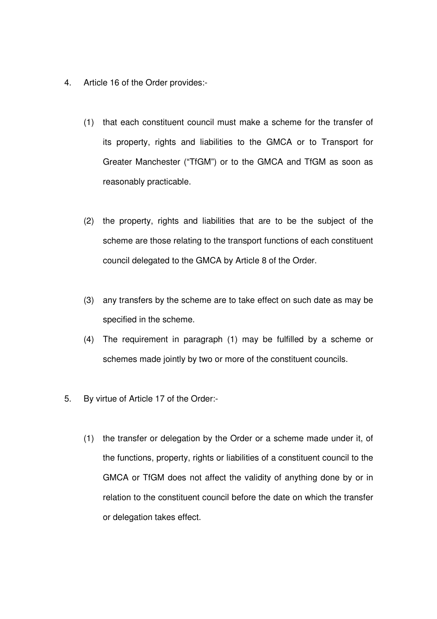- 4. Article 16 of the Order provides:-
	- (1) that each constituent council must make a scheme for the transfer of its property, rights and liabilities to the GMCA or to Transport for Greater Manchester ("TfGM") or to the GMCA and TfGM as soon as reasonably practicable.
	- (2) the property, rights and liabilities that are to be the subject of the scheme are those relating to the transport functions of each constituent council delegated to the GMCA by Article 8 of the Order.
	- (3) any transfers by the scheme are to take effect on such date as may be specified in the scheme.
	- (4) The requirement in paragraph (1) may be fulfilled by a scheme or schemes made jointly by two or more of the constituent councils.
- 5. By virtue of Article 17 of the Order:-
	- (1) the transfer or delegation by the Order or a scheme made under it, of the functions, property, rights or liabilities of a constituent council to the GMCA or TfGM does not affect the validity of anything done by or in relation to the constituent council before the date on which the transfer or delegation takes effect.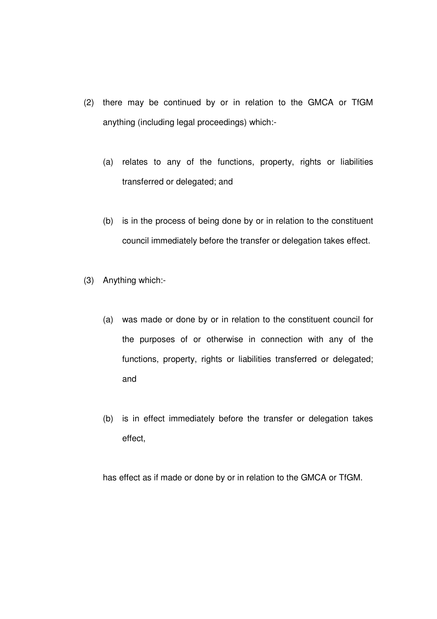- (2) there may be continued by or in relation to the GMCA or TfGM anything (including legal proceedings) which:-
	- (a) relates to any of the functions, property, rights or liabilities transferred or delegated; and
	- (b) is in the process of being done by or in relation to the constituent council immediately before the transfer or delegation takes effect.
- (3) Anything which:-
	- (a) was made or done by or in relation to the constituent council for the purposes of or otherwise in connection with any of the functions, property, rights or liabilities transferred or delegated; and
	- (b) is in effect immediately before the transfer or delegation takes effect,

has effect as if made or done by or in relation to the GMCA or TfGM.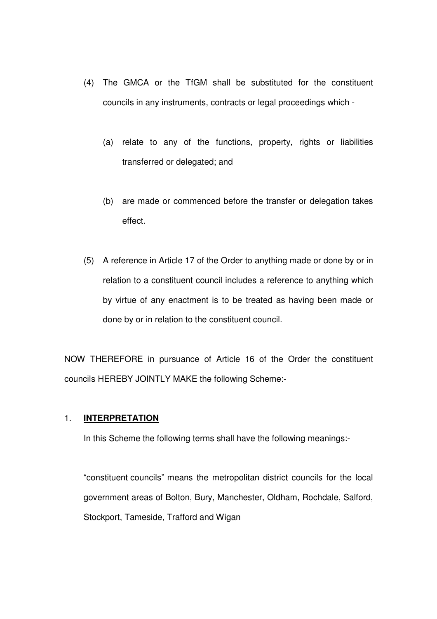- (4) The GMCA or the TfGM shall be substituted for the constituent councils in any instruments, contracts or legal proceedings which -
	- (a) relate to any of the functions, property, rights or liabilities transferred or delegated; and
	- (b) are made or commenced before the transfer or delegation takes effect.
- (5) A reference in Article 17 of the Order to anything made or done by or in relation to a constituent council includes a reference to anything which by virtue of any enactment is to be treated as having been made or done by or in relation to the constituent council.

NOW THEREFORE in pursuance of Article 16 of the Order the constituent councils HEREBY JOINTLY MAKE the following Scheme:-

#### 1. **INTERPRETATION**

In this Scheme the following terms shall have the following meanings:-

 "constituent councils" means the metropolitan district councils for the local government areas of Bolton, Bury, Manchester, Oldham, Rochdale, Salford, Stockport, Tameside, Trafford and Wigan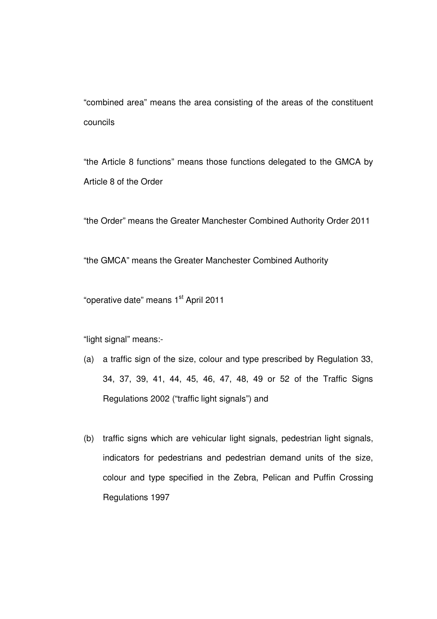"combined area" means the area consisting of the areas of the constituent councils

 "the Article 8 functions" means those functions delegated to the GMCA by Article 8 of the Order

"the Order" means the Greater Manchester Combined Authority Order 2011

"the GMCA" means the Greater Manchester Combined Authority

"operative date" means 1<sup>st</sup> April 2011

"light signal" means:-

- (a) a traffic sign of the size, colour and type prescribed by Regulation 33, 34, 37, 39, 41, 44, 45, 46, 47, 48, 49 or 52 of the Traffic Signs Regulations 2002 ("traffic light signals") and
- (b) traffic signs which are vehicular light signals, pedestrian light signals, indicators for pedestrians and pedestrian demand units of the size, colour and type specified in the Zebra, Pelican and Puffin Crossing Regulations 1997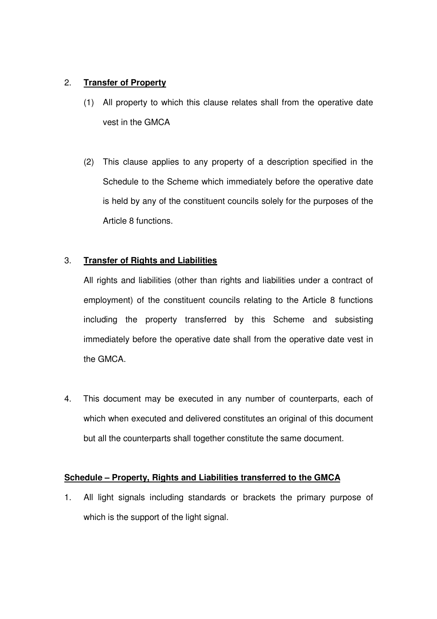### 2. **Transfer of Property**

- (1) All property to which this clause relates shall from the operative date vest in the GMCA
- (2) This clause applies to any property of a description specified in the Schedule to the Scheme which immediately before the operative date is held by any of the constituent councils solely for the purposes of the Article 8 functions.

## 3. **Transfer of Rights and Liabilities**

All rights and liabilities (other than rights and liabilities under a contract of employment) of the constituent councils relating to the Article 8 functions including the property transferred by this Scheme and subsisting immediately before the operative date shall from the operative date vest in the GMCA.

4. This document may be executed in any number of counterparts, each of which when executed and delivered constitutes an original of this document but all the counterparts shall together constitute the same document.

### **Schedule – Property, Rights and Liabilities transferred to the GMCA**

1. All light signals including standards or brackets the primary purpose of which is the support of the light signal.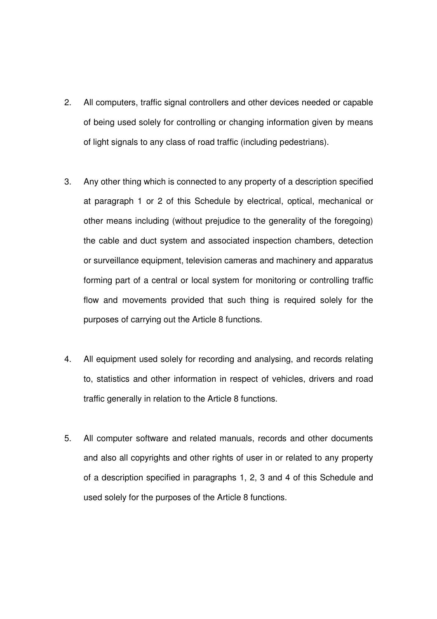- 2. All computers, traffic signal controllers and other devices needed or capable of being used solely for controlling or changing information given by means of light signals to any class of road traffic (including pedestrians).
- 3. Any other thing which is connected to any property of a description specified at paragraph 1 or 2 of this Schedule by electrical, optical, mechanical or other means including (without prejudice to the generality of the foregoing) the cable and duct system and associated inspection chambers, detection or surveillance equipment, television cameras and machinery and apparatus forming part of a central or local system for monitoring or controlling traffic flow and movements provided that such thing is required solely for the purposes of carrying out the Article 8 functions.
- 4. All equipment used solely for recording and analysing, and records relating to, statistics and other information in respect of vehicles, drivers and road traffic generally in relation to the Article 8 functions.
- 5. All computer software and related manuals, records and other documents and also all copyrights and other rights of user in or related to any property of a description specified in paragraphs 1, 2, 3 and 4 of this Schedule and used solely for the purposes of the Article 8 functions.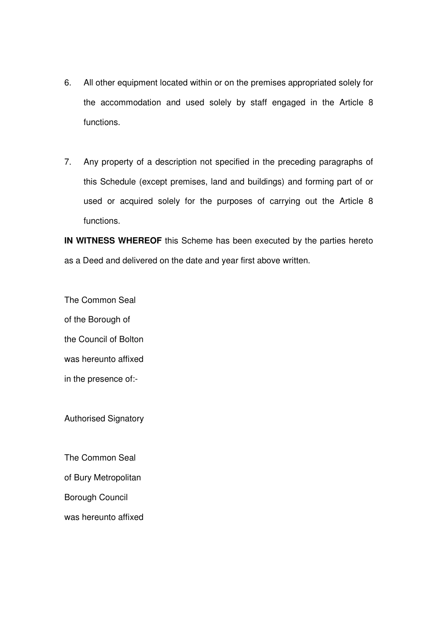- 6. All other equipment located within or on the premises appropriated solely for the accommodation and used solely by staff engaged in the Article 8 functions.
- 7. Any property of a description not specified in the preceding paragraphs of this Schedule (except premises, land and buildings) and forming part of or used or acquired solely for the purposes of carrying out the Article 8 functions.

**IN WITNESS WHEREOF** this Scheme has been executed by the parties hereto as a Deed and delivered on the date and year first above written.

The Common Seal of the Borough of the Council of Bolton was hereunto affixed

in the presence of:-

Authorised Signatory

The Common Seal

of Bury Metropolitan

Borough Council

was hereunto affixed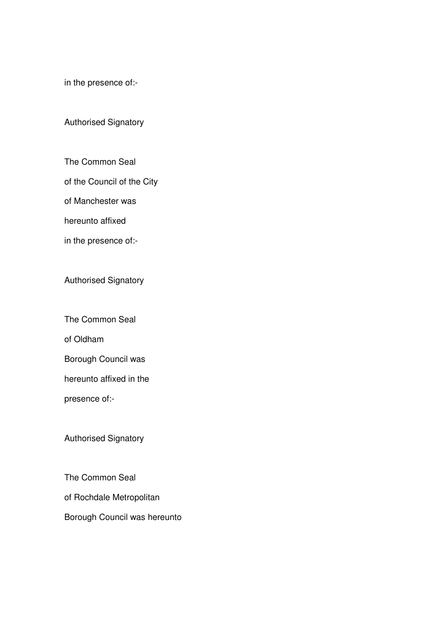in the presence of:-

### Authorised Signatory

The Common Seal

of the Council of the City

of Manchester was

hereunto affixed

in the presence of:-

Authorised Signatory

The Common Seal

of Oldham

Borough Council was

hereunto affixed in the

presence of:-

Authorised Signatory

The Common Seal

of Rochdale Metropolitan

Borough Council was hereunto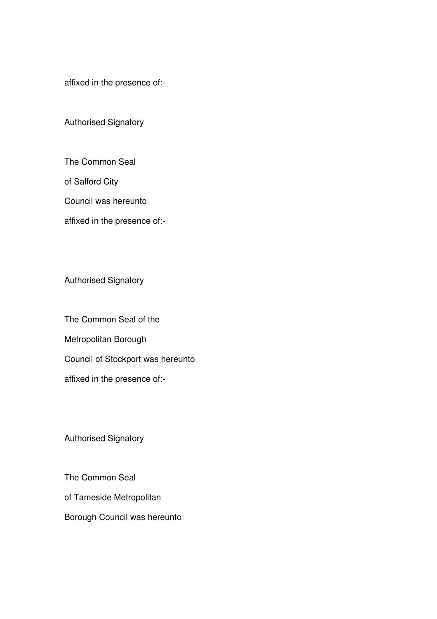affixed in the presence of:-

Authorised Signatory

The Common Seal

of Salford City

Council was hereunto

affixed in the presence of:-

Authorised Signatory

The Common Seal of the Metropolitan Borough Council of Stockport was hereunto affixed in the presence of:-

Authorised Signatory

The Common Seal of Tameside Metropolitan Borough Council was hereunto